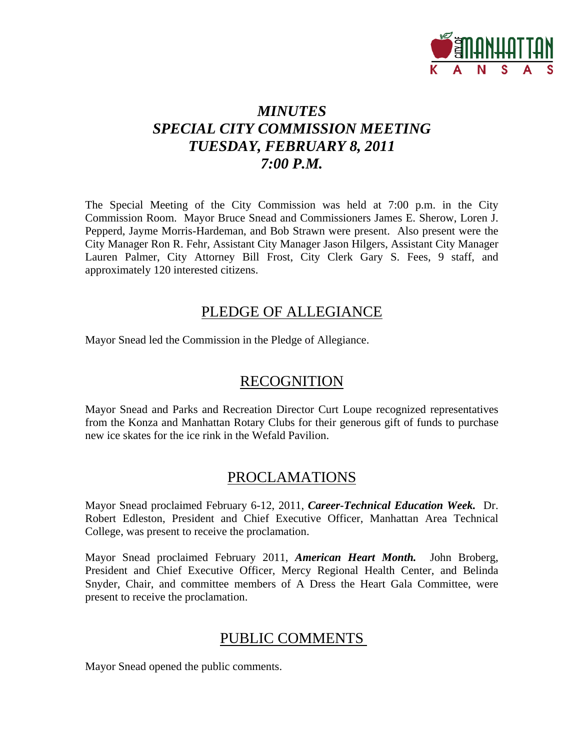

## *MINUTES SPECIAL CITY COMMISSION MEETING TUESDAY, FEBRUARY 8, 2011 7:00 P.M.*

The Special Meeting of the City Commission was held at 7:00 p.m. in the City Commission Room. Mayor Bruce Snead and Commissioners James E. Sherow, Loren J. Pepperd, Jayme Morris-Hardeman, and Bob Strawn were present. Also present were the City Manager Ron R. Fehr, Assistant City Manager Jason Hilgers, Assistant City Manager Lauren Palmer, City Attorney Bill Frost, City Clerk Gary S. Fees, 9 staff, and approximately 120 interested citizens.

## PLEDGE OF ALLEGIANCE

Mayor Snead led the Commission in the Pledge of Allegiance.

## **RECOGNITION**

Mayor Snead and Parks and Recreation Director Curt Loupe recognized representatives from the Konza and Manhattan Rotary Clubs for their generous gift of funds to purchase new ice skates for the ice rink in the Wefald Pavilion.

## PROCLAMATIONS

Mayor Snead proclaimed February 6-12, 2011, *Career-Technical Education Week.* Dr. Robert Edleston, President and Chief Executive Officer, Manhattan Area Technical College, was present to receive the proclamation.

Mayor Snead proclaimed February 2011, *American Heart Month.* John Broberg, President and Chief Executive Officer, Mercy Regional Health Center, and Belinda Snyder, Chair, and committee members of A Dress the Heart Gala Committee, were present to receive the proclamation.

## PUBLIC COMMENTS

Mayor Snead opened the public comments.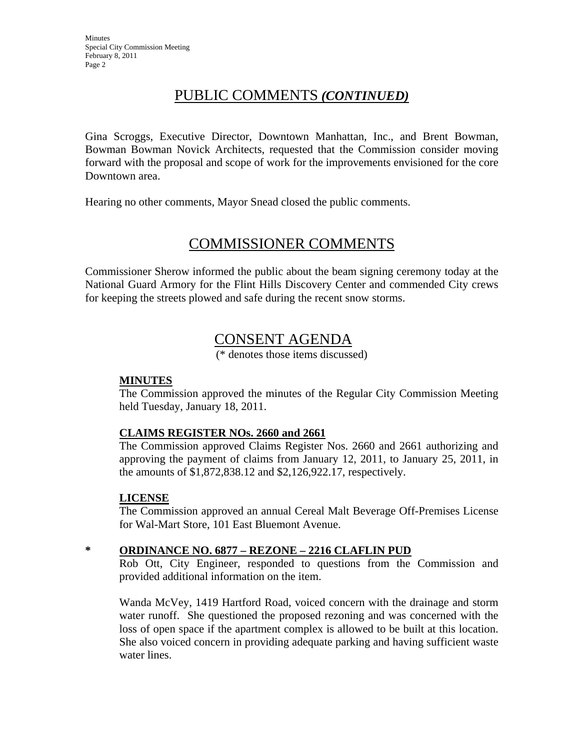## PUBLIC COMMENTS *(CONTINUED)*

Gina Scroggs, Executive Director, Downtown Manhattan, Inc., and Brent Bowman, Bowman Bowman Novick Architects, requested that the Commission consider moving forward with the proposal and scope of work for the improvements envisioned for the core Downtown area.

Hearing no other comments, Mayor Snead closed the public comments.

## COMMISSIONER COMMENTS

Commissioner Sherow informed the public about the beam signing ceremony today at the National Guard Armory for the Flint Hills Discovery Center and commended City crews for keeping the streets plowed and safe during the recent snow storms.

## CONSENT AGENDA

(\* denotes those items discussed)

## **MINUTES**

The Commission approved the minutes of the Regular City Commission Meeting held Tuesday, January 18, 2011.

## **CLAIMS REGISTER NOs. 2660 and 2661**

The Commission approved Claims Register Nos. 2660 and 2661 authorizing and approving the payment of claims from January 12, 2011, to January 25, 2011, in the amounts of \$1,872,838.12 and \$2,126,922.17, respectively.

## **LICENSE**

The Commission approved an annual Cereal Malt Beverage Off-Premises License for Wal-Mart Store, 101 East Bluemont Avenue.

## **\* ORDINANCE NO. 6877 – REZONE – 2216 CLAFLIN PUD**

Rob Ott, City Engineer, responded to questions from the Commission and provided additional information on the item.

Wanda McVey, 1419 Hartford Road, voiced concern with the drainage and storm water runoff. She questioned the proposed rezoning and was concerned with the loss of open space if the apartment complex is allowed to be built at this location. She also voiced concern in providing adequate parking and having sufficient waste water lines.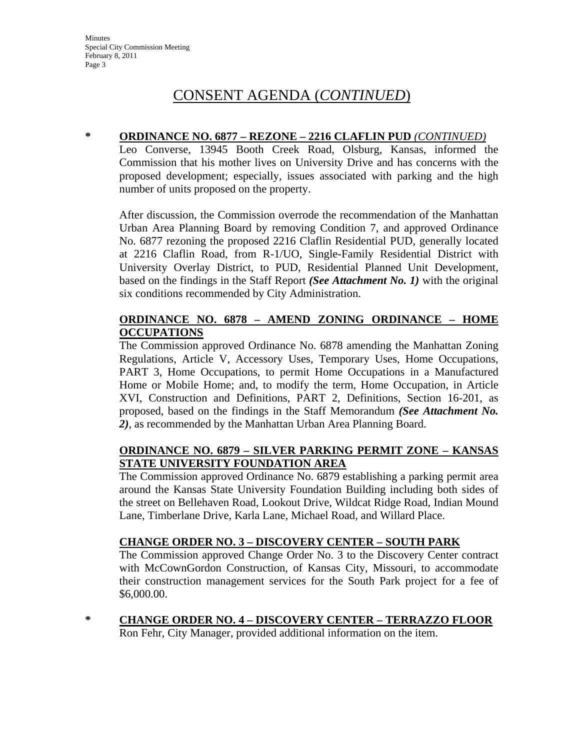### **\* ORDINANCE NO. 6877 – REZONE – 2216 CLAFLIN PUD** *(CONTINUED)*

Leo Converse, 13945 Booth Creek Road, Olsburg, Kansas, informed the Commission that his mother lives on University Drive and has concerns with the proposed development; especially, issues associated with parking and the high number of units proposed on the property.

After discussion, the Commission overrode the recommendation of the Manhattan Urban Area Planning Board by removing Condition 7, and approved Ordinance No. 6877 rezoning the proposed 2216 Claflin Residential PUD, generally located at 2216 Claflin Road, from R-1/UO, Single-Family Residential District with University Overlay District, to PUD, Residential Planned Unit Development, based on the findings in the Staff Report *(See Attachment No. 1)* with the original six conditions recommended by City Administration.

## **ORDINANCE NO. 6878 – AMEND ZONING ORDINANCE – HOME OCCUPATIONS**

The Commission approved Ordinance No. 6878 amending the Manhattan Zoning Regulations, Article V, Accessory Uses, Temporary Uses, Home Occupations, PART 3, Home Occupations, to permit Home Occupations in a Manufactured Home or Mobile Home; and, to modify the term, Home Occupation, in Article XVI, Construction and Definitions, PART 2, Definitions, Section 16-201, as proposed, based on the findings in the Staff Memorandum *(See Attachment No. 2)*, as recommended by the Manhattan Urban Area Planning Board.

## **ORDINANCE NO. 6879 – SILVER PARKING PERMIT ZONE – KANSAS STATE UNIVERSITY FOUNDATION AREA**

The Commission approved Ordinance No. 6879 establishing a parking permit area around the Kansas State University Foundation Building including both sides of the street on Bellehaven Road, Lookout Drive, Wildcat Ridge Road, Indian Mound Lane, Timberlane Drive, Karla Lane, Michael Road, and Willard Place.

## **CHANGE ORDER NO. 3 – DISCOVERY CENTER – SOUTH PARK**

The Commission approved Change Order No. 3 to the Discovery Center contract with McCownGordon Construction, of Kansas City, Missouri, to accommodate their construction management services for the South Park project for a fee of \$6,000.00.

**\* CHANGE ORDER NO. 4 – DISCOVERY CENTER – TERRAZZO FLOOR**

Ron Fehr, City Manager, provided additional information on the item.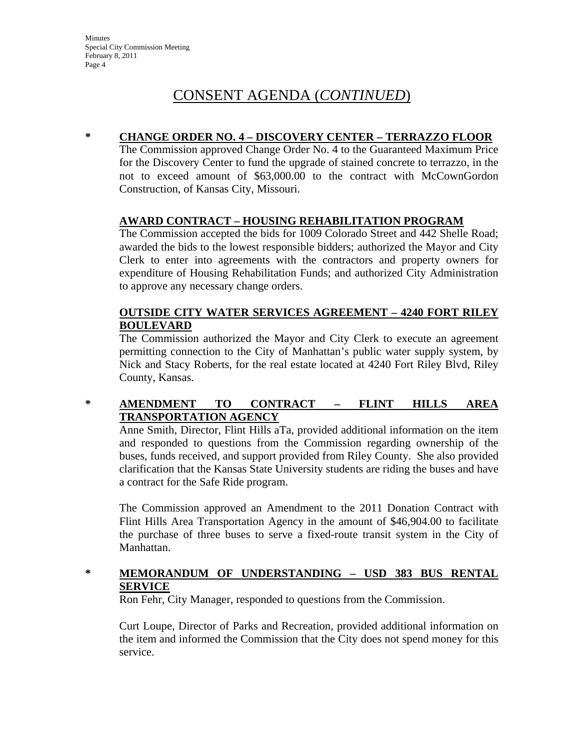### **\* CHANGE ORDER NO. 4 – DISCOVERY CENTER – TERRAZZO FLOOR**

The Commission approved Change Order No. 4 to the Guaranteed Maximum Price for the Discovery Center to fund the upgrade of stained concrete to terrazzo, in the not to exceed amount of \$63,000.00 to the contract with McCownGordon Construction, of Kansas City, Missouri.

## **AWARD CONTRACT – HOUSING REHABILITATION PROGRAM**

The Commission accepted the bids for 1009 Colorado Street and 442 Shelle Road; awarded the bids to the lowest responsible bidders; authorized the Mayor and City Clerk to enter into agreements with the contractors and property owners for expenditure of Housing Rehabilitation Funds; and authorized City Administration to approve any necessary change orders.

## **OUTSIDE CITY WATER SERVICES AGREEMENT – 4240 FORT RILEY BOULEVARD**

The Commission authorized the Mayor and City Clerk to execute an agreement permitting connection to the City of Manhattan's public water supply system, by Nick and Stacy Roberts, for the real estate located at 4240 Fort Riley Blvd, Riley County, Kansas.

## **\* AMENDMENT TO CONTRACT – FLINT HILLS AREA TRANSPORTATION AGENCY**

Anne Smith, Director, Flint Hills aTa, provided additional information on the item and responded to questions from the Commission regarding ownership of the buses, funds received, and support provided from Riley County. She also provided clarification that the Kansas State University students are riding the buses and have a contract for the Safe Ride program.

The Commission approved an Amendment to the 2011 Donation Contract with Flint Hills Area Transportation Agency in the amount of \$46,904.00 to facilitate the purchase of three buses to serve a fixed-route transit system in the City of Manhattan.

## **\* MEMORANDUM OF UNDERSTANDING – USD 383 BUS RENTAL SERVICE**

Ron Fehr, City Manager, responded to questions from the Commission.

Curt Loupe, Director of Parks and Recreation, provided additional information on the item and informed the Commission that the City does not spend money for this service.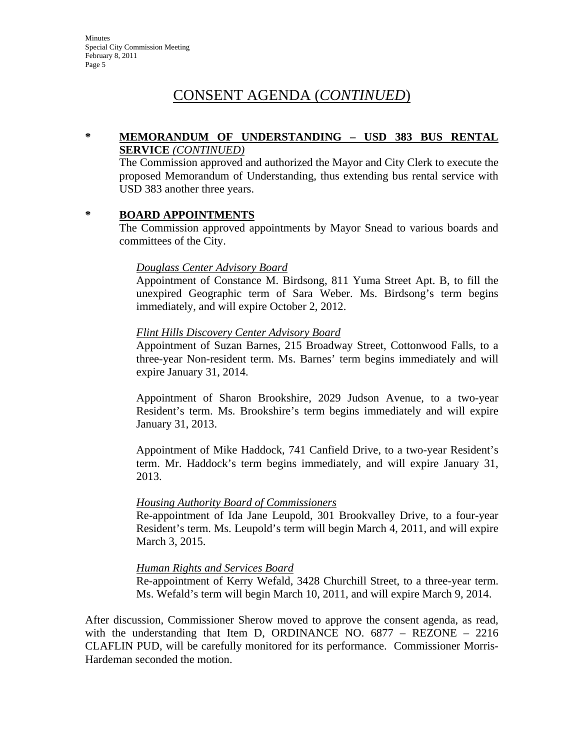### **\* MEMORANDUM OF UNDERSTANDING – USD 383 BUS RENTAL SERVICE** *(CONTINUED)*

The Commission approved and authorized the Mayor and City Clerk to execute the proposed Memorandum of Understanding, thus extending bus rental service with USD 383 another three years.

### **\* BOARD APPOINTMENTS**

The Commission approved appointments by Mayor Snead to various boards and committees of the City.

### *Douglass Center Advisory Board*

Appointment of Constance M. Birdsong, 811 Yuma Street Apt. B, to fill the unexpired Geographic term of Sara Weber. Ms. Birdsong's term begins immediately, and will expire October 2, 2012.

### *Flint Hills Discovery Center Advisory Board*

Appointment of Suzan Barnes, 215 Broadway Street, Cottonwood Falls, to a three-year Non-resident term. Ms. Barnes' term begins immediately and will expire January 31, 2014.

Appointment of Sharon Brookshire, 2029 Judson Avenue, to a two-year Resident's term. Ms. Brookshire's term begins immediately and will expire January 31, 2013.

Appointment of Mike Haddock, 741 Canfield Drive, to a two-year Resident's term. Mr. Haddock's term begins immediately, and will expire January 31, 2013.

### *Housing Authority Board of Commissioners*

Re-appointment of Ida Jane Leupold, 301 Brookvalley Drive, to a four-year Resident's term. Ms. Leupold's term will begin March 4, 2011, and will expire March 3, 2015.

### *Human Rights and Services Board*

Re-appointment of Kerry Wefald, 3428 Churchill Street, to a three-year term. Ms. Wefald's term will begin March 10, 2011, and will expire March 9, 2014.

After discussion, Commissioner Sherow moved to approve the consent agenda, as read, with the understanding that Item D, ORDINANCE NO.  $6877 - REZONE - 2216$ CLAFLIN PUD, will be carefully monitored for its performance. Commissioner Morris-Hardeman seconded the motion.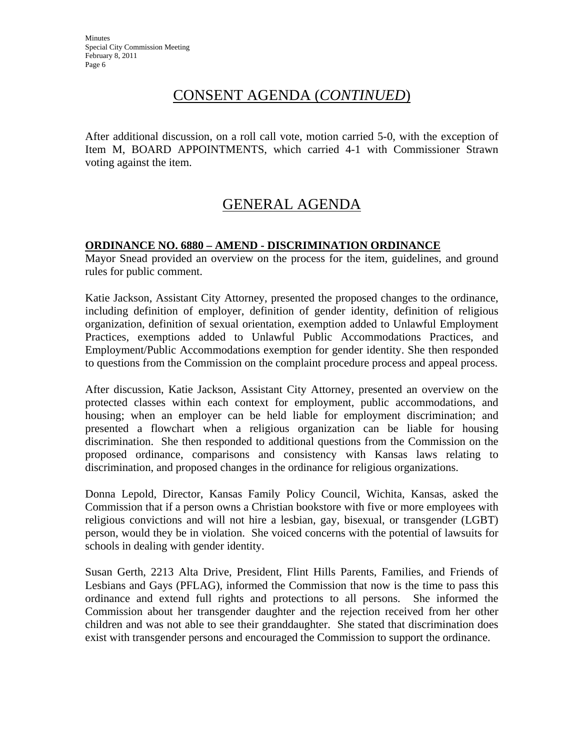After additional discussion, on a roll call vote, motion carried 5-0, with the exception of Item M, BOARD APPOINTMENTS, which carried 4-1 with Commissioner Strawn voting against the item.

## GENERAL AGENDA

## **ORDINANCE NO. 6880 – AMEND - DISCRIMINATION ORDINANCE**

Mayor Snead provided an overview on the process for the item, guidelines, and ground rules for public comment.

Katie Jackson, Assistant City Attorney, presented the proposed changes to the ordinance, including definition of employer, definition of gender identity, definition of religious organization, definition of sexual orientation, exemption added to Unlawful Employment Practices, exemptions added to Unlawful Public Accommodations Practices, and Employment/Public Accommodations exemption for gender identity. She then responded to questions from the Commission on the complaint procedure process and appeal process.

After discussion, Katie Jackson, Assistant City Attorney, presented an overview on the protected classes within each context for employment, public accommodations, and housing; when an employer can be held liable for employment discrimination; and presented a flowchart when a religious organization can be liable for housing discrimination. She then responded to additional questions from the Commission on the proposed ordinance, comparisons and consistency with Kansas laws relating to discrimination, and proposed changes in the ordinance for religious organizations.

Donna Lepold, Director, Kansas Family Policy Council, Wichita, Kansas, asked the Commission that if a person owns a Christian bookstore with five or more employees with religious convictions and will not hire a lesbian, gay, bisexual, or transgender (LGBT) person, would they be in violation. She voiced concerns with the potential of lawsuits for schools in dealing with gender identity.

Susan Gerth, 2213 Alta Drive, President, Flint Hills Parents, Families, and Friends of Lesbians and Gays (PFLAG), informed the Commission that now is the time to pass this ordinance and extend full rights and protections to all persons. She informed the Commission about her transgender daughter and the rejection received from her other children and was not able to see their granddaughter. She stated that discrimination does exist with transgender persons and encouraged the Commission to support the ordinance.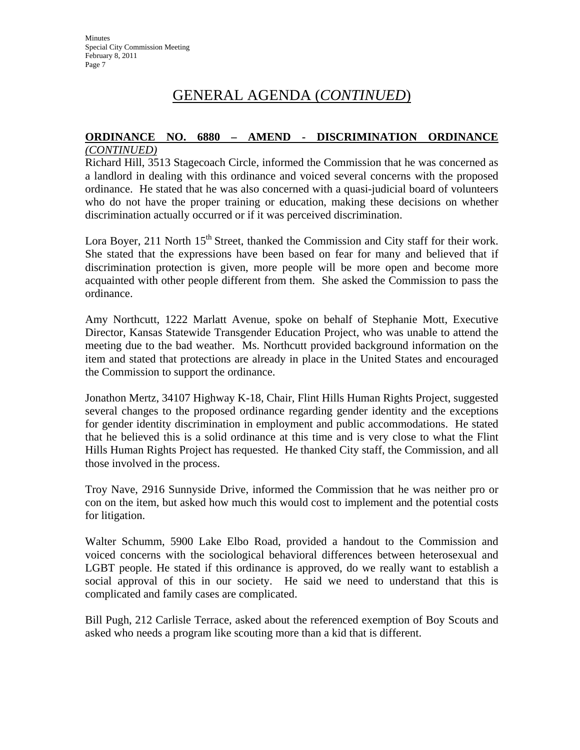#### **ORDINANCE NO. 6880 – AMEND - DISCRIMINATION ORDINANCE** *(CONTINUED)*

Richard Hill, 3513 Stagecoach Circle, informed the Commission that he was concerned as a landlord in dealing with this ordinance and voiced several concerns with the proposed ordinance. He stated that he was also concerned with a quasi-judicial board of volunteers who do not have the proper training or education, making these decisions on whether discrimination actually occurred or if it was perceived discrimination.

Lora Boyer, 211 North 15<sup>th</sup> Street, thanked the Commission and City staff for their work. She stated that the expressions have been based on fear for many and believed that if discrimination protection is given, more people will be more open and become more acquainted with other people different from them. She asked the Commission to pass the ordinance.

Amy Northcutt, 1222 Marlatt Avenue, spoke on behalf of Stephanie Mott, Executive Director, Kansas Statewide Transgender Education Project, who was unable to attend the meeting due to the bad weather. Ms. Northcutt provided background information on the item and stated that protections are already in place in the United States and encouraged the Commission to support the ordinance.

Jonathon Mertz, 34107 Highway K-18, Chair, Flint Hills Human Rights Project, suggested several changes to the proposed ordinance regarding gender identity and the exceptions for gender identity discrimination in employment and public accommodations. He stated that he believed this is a solid ordinance at this time and is very close to what the Flint Hills Human Rights Project has requested. He thanked City staff, the Commission, and all those involved in the process.

Troy Nave, 2916 Sunnyside Drive, informed the Commission that he was neither pro or con on the item, but asked how much this would cost to implement and the potential costs for litigation.

Walter Schumm, 5900 Lake Elbo Road, provided a handout to the Commission and voiced concerns with the sociological behavioral differences between heterosexual and LGBT people. He stated if this ordinance is approved, do we really want to establish a social approval of this in our society. He said we need to understand that this is complicated and family cases are complicated.

Bill Pugh, 212 Carlisle Terrace, asked about the referenced exemption of Boy Scouts and asked who needs a program like scouting more than a kid that is different.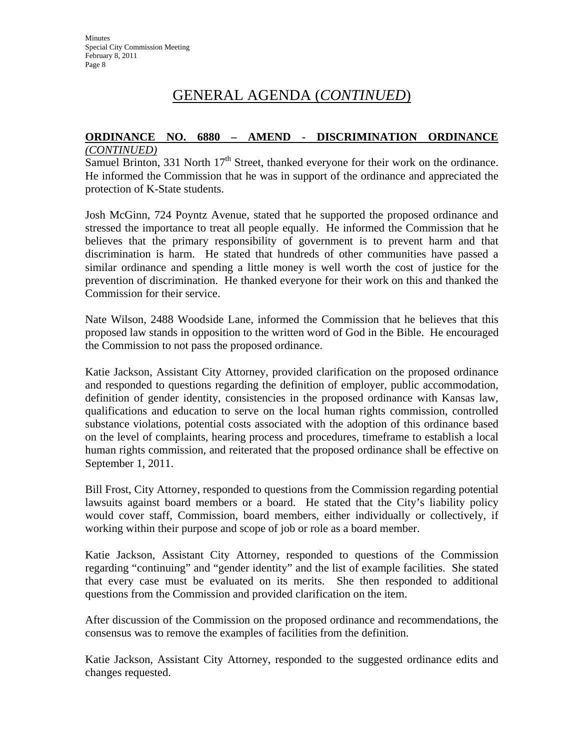#### **ORDINANCE NO. 6880 – AMEND - DISCRIMINATION ORDINANCE** *(CONTINUED)*

Samuel Brinton, 331 North  $17<sup>th</sup>$  Street, thanked everyone for their work on the ordinance. He informed the Commission that he was in support of the ordinance and appreciated the protection of K-State students.

Josh McGinn, 724 Poyntz Avenue, stated that he supported the proposed ordinance and stressed the importance to treat all people equally. He informed the Commission that he believes that the primary responsibility of government is to prevent harm and that discrimination is harm. He stated that hundreds of other communities have passed a similar ordinance and spending a little money is well worth the cost of justice for the prevention of discrimination. He thanked everyone for their work on this and thanked the Commission for their service.

Nate Wilson, 2488 Woodside Lane, informed the Commission that he believes that this proposed law stands in opposition to the written word of God in the Bible. He encouraged the Commission to not pass the proposed ordinance.

Katie Jackson, Assistant City Attorney, provided clarification on the proposed ordinance and responded to questions regarding the definition of employer, public accommodation, definition of gender identity, consistencies in the proposed ordinance with Kansas law, qualifications and education to serve on the local human rights commission, controlled substance violations, potential costs associated with the adoption of this ordinance based on the level of complaints, hearing process and procedures, timeframe to establish a local human rights commission, and reiterated that the proposed ordinance shall be effective on September 1, 2011.

Bill Frost, City Attorney, responded to questions from the Commission regarding potential lawsuits against board members or a board. He stated that the City's liability policy would cover staff, Commission, board members, either individually or collectively, if working within their purpose and scope of job or role as a board member.

Katie Jackson, Assistant City Attorney, responded to questions of the Commission regarding "continuing" and "gender identity" and the list of example facilities. She stated that every case must be evaluated on its merits. She then responded to additional questions from the Commission and provided clarification on the item.

After discussion of the Commission on the proposed ordinance and recommendations, the consensus was to remove the examples of facilities from the definition.

Katie Jackson, Assistant City Attorney, responded to the suggested ordinance edits and changes requested.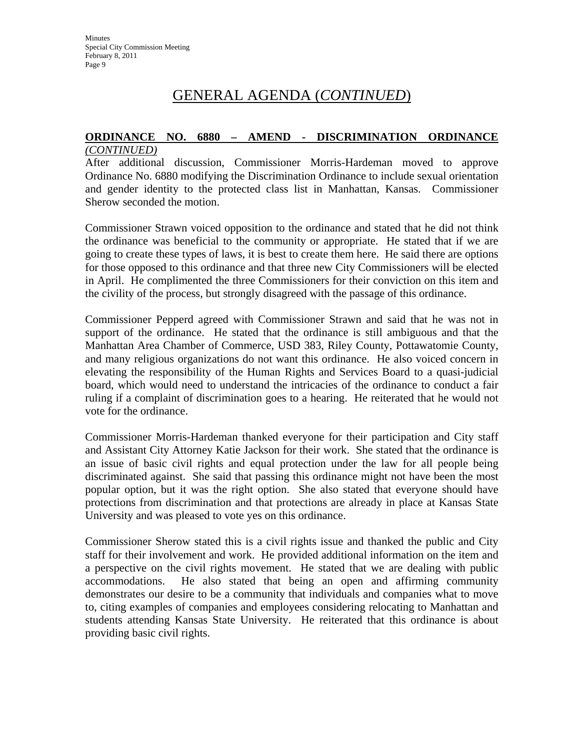#### **ORDINANCE NO. 6880 – AMEND - DISCRIMINATION ORDINANCE** *(CONTINUED)*

After additional discussion, Commissioner Morris-Hardeman moved to approve Ordinance No. 6880 modifying the Discrimination Ordinance to include sexual orientation and gender identity to the protected class list in Manhattan, Kansas. Commissioner Sherow seconded the motion.

Commissioner Strawn voiced opposition to the ordinance and stated that he did not think the ordinance was beneficial to the community or appropriate. He stated that if we are going to create these types of laws, it is best to create them here. He said there are options for those opposed to this ordinance and that three new City Commissioners will be elected in April. He complimented the three Commissioners for their conviction on this item and the civility of the process, but strongly disagreed with the passage of this ordinance.

Commissioner Pepperd agreed with Commissioner Strawn and said that he was not in support of the ordinance. He stated that the ordinance is still ambiguous and that the Manhattan Area Chamber of Commerce, USD 383, Riley County, Pottawatomie County, and many religious organizations do not want this ordinance. He also voiced concern in elevating the responsibility of the Human Rights and Services Board to a quasi-judicial board, which would need to understand the intricacies of the ordinance to conduct a fair ruling if a complaint of discrimination goes to a hearing. He reiterated that he would not vote for the ordinance.

Commissioner Morris-Hardeman thanked everyone for their participation and City staff and Assistant City Attorney Katie Jackson for their work. She stated that the ordinance is an issue of basic civil rights and equal protection under the law for all people being discriminated against. She said that passing this ordinance might not have been the most popular option, but it was the right option. She also stated that everyone should have protections from discrimination and that protections are already in place at Kansas State University and was pleased to vote yes on this ordinance.

Commissioner Sherow stated this is a civil rights issue and thanked the public and City staff for their involvement and work. He provided additional information on the item and a perspective on the civil rights movement. He stated that we are dealing with public accommodations. He also stated that being an open and affirming community demonstrates our desire to be a community that individuals and companies what to move to, citing examples of companies and employees considering relocating to Manhattan and students attending Kansas State University. He reiterated that this ordinance is about providing basic civil rights.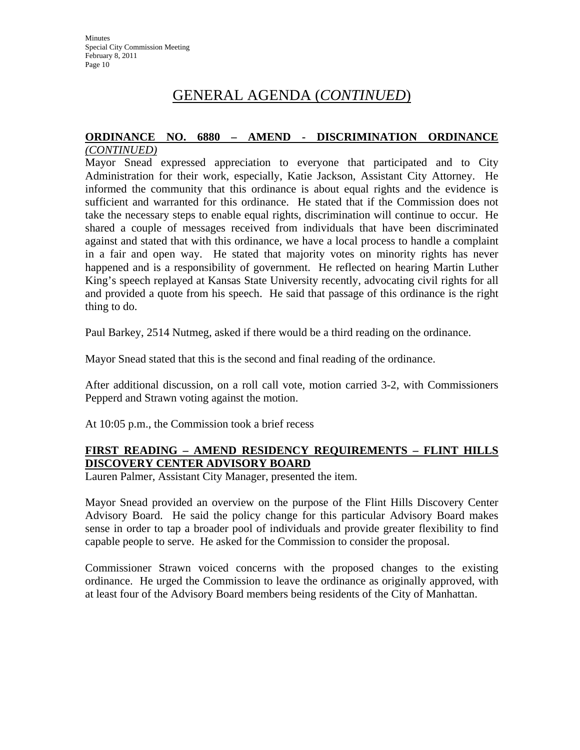#### **ORDINANCE NO. 6880 – AMEND - DISCRIMINATION ORDINANCE** *(CONTINUED)*

Mayor Snead expressed appreciation to everyone that participated and to City Administration for their work, especially, Katie Jackson, Assistant City Attorney. He informed the community that this ordinance is about equal rights and the evidence is sufficient and warranted for this ordinance. He stated that if the Commission does not take the necessary steps to enable equal rights, discrimination will continue to occur. He shared a couple of messages received from individuals that have been discriminated against and stated that with this ordinance, we have a local process to handle a complaint in a fair and open way. He stated that majority votes on minority rights has never happened and is a responsibility of government. He reflected on hearing Martin Luther King's speech replayed at Kansas State University recently, advocating civil rights for all and provided a quote from his speech. He said that passage of this ordinance is the right thing to do.

Paul Barkey, 2514 Nutmeg, asked if there would be a third reading on the ordinance.

Mayor Snead stated that this is the second and final reading of the ordinance.

After additional discussion, on a roll call vote, motion carried 3-2, with Commissioners Pepperd and Strawn voting against the motion.

At 10:05 p.m., the Commission took a brief recess

## **FIRST READING – AMEND RESIDENCY REQUIREMENTS – FLINT HILLS DISCOVERY CENTER ADVISORY BOARD**

Lauren Palmer, Assistant City Manager, presented the item.

Mayor Snead provided an overview on the purpose of the Flint Hills Discovery Center Advisory Board. He said the policy change for this particular Advisory Board makes sense in order to tap a broader pool of individuals and provide greater flexibility to find capable people to serve. He asked for the Commission to consider the proposal.

Commissioner Strawn voiced concerns with the proposed changes to the existing ordinance. He urged the Commission to leave the ordinance as originally approved, with at least four of the Advisory Board members being residents of the City of Manhattan.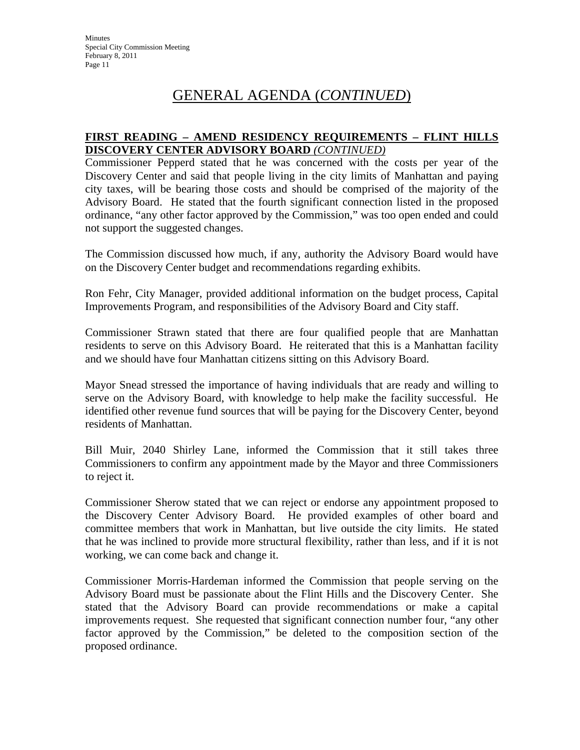### **FIRST READING – AMEND RESIDENCY REQUIREMENTS – FLINT HILLS DISCOVERY CENTER ADVISORY BOARD** *(CONTINUED)*

Commissioner Pepperd stated that he was concerned with the costs per year of the Discovery Center and said that people living in the city limits of Manhattan and paying city taxes, will be bearing those costs and should be comprised of the majority of the Advisory Board. He stated that the fourth significant connection listed in the proposed ordinance, "any other factor approved by the Commission," was too open ended and could not support the suggested changes.

The Commission discussed how much, if any, authority the Advisory Board would have on the Discovery Center budget and recommendations regarding exhibits.

Ron Fehr, City Manager, provided additional information on the budget process, Capital Improvements Program, and responsibilities of the Advisory Board and City staff.

Commissioner Strawn stated that there are four qualified people that are Manhattan residents to serve on this Advisory Board. He reiterated that this is a Manhattan facility and we should have four Manhattan citizens sitting on this Advisory Board.

Mayor Snead stressed the importance of having individuals that are ready and willing to serve on the Advisory Board, with knowledge to help make the facility successful. He identified other revenue fund sources that will be paying for the Discovery Center, beyond residents of Manhattan.

Bill Muir, 2040 Shirley Lane, informed the Commission that it still takes three Commissioners to confirm any appointment made by the Mayor and three Commissioners to reject it.

Commissioner Sherow stated that we can reject or endorse any appointment proposed to the Discovery Center Advisory Board. He provided examples of other board and committee members that work in Manhattan, but live outside the city limits. He stated that he was inclined to provide more structural flexibility, rather than less, and if it is not working, we can come back and change it.

Commissioner Morris-Hardeman informed the Commission that people serving on the Advisory Board must be passionate about the Flint Hills and the Discovery Center. She stated that the Advisory Board can provide recommendations or make a capital improvements request. She requested that significant connection number four, "any other factor approved by the Commission," be deleted to the composition section of the proposed ordinance.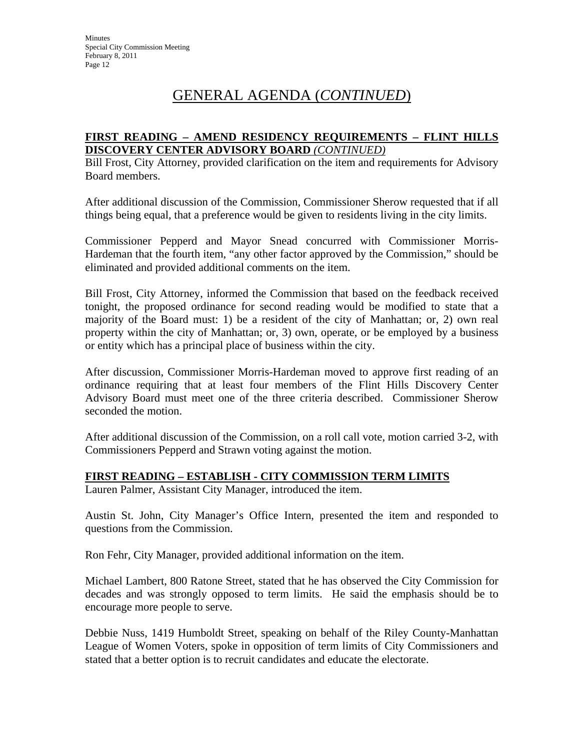### **FIRST READING – AMEND RESIDENCY REQUIREMENTS – FLINT HILLS DISCOVERY CENTER ADVISORY BOARD** *(CONTINUED)*

Bill Frost, City Attorney, provided clarification on the item and requirements for Advisory Board members.

After additional discussion of the Commission, Commissioner Sherow requested that if all things being equal, that a preference would be given to residents living in the city limits.

Commissioner Pepperd and Mayor Snead concurred with Commissioner Morris-Hardeman that the fourth item, "any other factor approved by the Commission," should be eliminated and provided additional comments on the item.

Bill Frost, City Attorney, informed the Commission that based on the feedback received tonight, the proposed ordinance for second reading would be modified to state that a majority of the Board must: 1) be a resident of the city of Manhattan; or, 2) own real property within the city of Manhattan; or, 3) own, operate, or be employed by a business or entity which has a principal place of business within the city.

After discussion, Commissioner Morris-Hardeman moved to approve first reading of an ordinance requiring that at least four members of the Flint Hills Discovery Center Advisory Board must meet one of the three criteria described. Commissioner Sherow seconded the motion.

After additional discussion of the Commission, on a roll call vote, motion carried 3-2, with Commissioners Pepperd and Strawn voting against the motion.

## **FIRST READING – ESTABLISH - CITY COMMISSION TERM LIMITS**

Lauren Palmer, Assistant City Manager, introduced the item.

Austin St. John, City Manager's Office Intern, presented the item and responded to questions from the Commission.

Ron Fehr, City Manager, provided additional information on the item.

Michael Lambert, 800 Ratone Street, stated that he has observed the City Commission for decades and was strongly opposed to term limits. He said the emphasis should be to encourage more people to serve.

Debbie Nuss, 1419 Humboldt Street, speaking on behalf of the Riley County-Manhattan League of Women Voters, spoke in opposition of term limits of City Commissioners and stated that a better option is to recruit candidates and educate the electorate.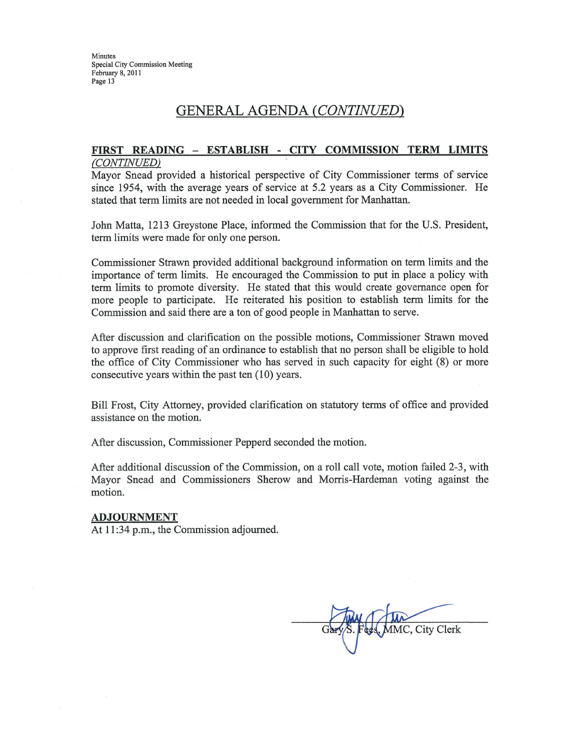Minutes Special City Commission Meeting February 8, 2011 Page 13

## GENERAL AGENDA (CONTINUED)

#### FIRST READING - ESTABLISH - CITY COMMISSION TERM LIMITS (CONTINUED)

Mayor Snead provided a historical perspective of City Commissioner terms of service since 1954, with the average years of service at 5.2 years as a City Commissioner. He stated that term limits are not needed in local government for Manhattan.

John Matta, 1213 Greystone Place, informed the Commission that for the U.S. President, term limits were made for only one person.

Commissioner Strawn provided additional background information on term limits and the importance of term limits. He encouraged the Commission to put in place a policy with term limits to promote diversity. He stated that this would create governance open for more people to participate. He reiterated his position to establish term limits for the Commission and said there are a ton of good people in Manhattan to serve.

After discussion and clarification on the possible motions, Commissioner Strawn moved to approve first reading of an ordinance to establish that no person shall be eligible to hold the office of City Commissioner who has served in such capacity for eight (8) or more consecutive years within the past ten (10) years.

Bill Frost, City Attorney, provided clarification on statutory terms of office and provided assistance on the motion.

After discussion, Commissioner Pepperd seconded the motion.

After additional discussion of the Commission, on a roll call vote, motion failed 2-3, with Mayor Snead and Commissioners Sherow and Morris-Hardeman voting against the motion.

#### **ADJOURNMENT**

At 11:34 p.m., the Commission adjourned.

City Clerk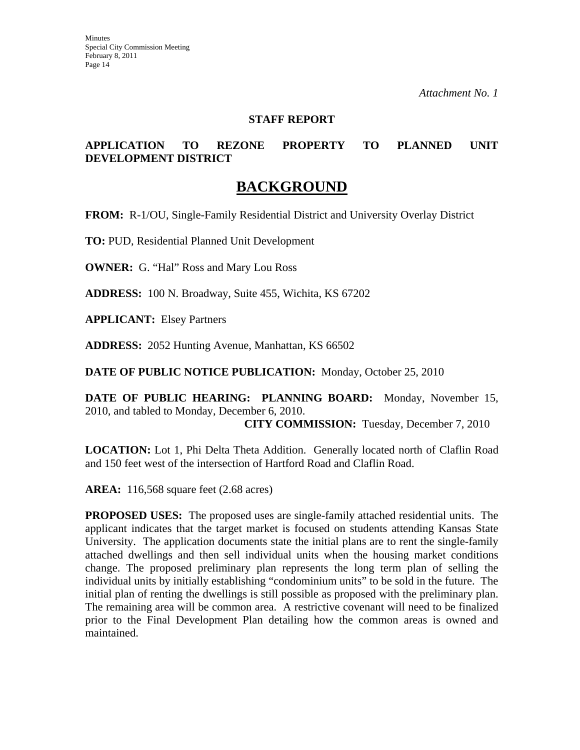### **STAFF REPORT**

## **APPLICATION TO REZONE PROPERTY TO PLANNED UNIT DEVELOPMENT DISTRICT**

## **BACKGROUND**

**FROM:** R-1/OU, Single-Family Residential District and University Overlay District

**TO:** PUD, Residential Planned Unit Development

**OWNER:** G. "Hal" Ross and Mary Lou Ross

**ADDRESS:** 100 N. Broadway, Suite 455, Wichita, KS 67202

**APPLICANT:** Elsey Partners

**ADDRESS:** 2052 Hunting Avenue, Manhattan, KS 66502

**DATE OF PUBLIC NOTICE PUBLICATION:** Monday, October 25, 2010

**DATE OF PUBLIC HEARING: PLANNING BOARD:** Monday, November 15, 2010, and tabled to Monday, December 6, 2010.

**CITY COMMISSION:** Tuesday, December 7, 2010

**LOCATION:** Lot 1, Phi Delta Theta Addition. Generally located north of Claflin Road and 150 feet west of the intersection of Hartford Road and Claflin Road.

**AREA:** 116,568 square feet (2.68 acres)

**PROPOSED USES:** The proposed uses are single-family attached residential units. The applicant indicates that the target market is focused on students attending Kansas State University. The application documents state the initial plans are to rent the single-family attached dwellings and then sell individual units when the housing market conditions change. The proposed preliminary plan represents the long term plan of selling the individual units by initially establishing "condominium units" to be sold in the future. The initial plan of renting the dwellings is still possible as proposed with the preliminary plan. The remaining area will be common area. A restrictive covenant will need to be finalized prior to the Final Development Plan detailing how the common areas is owned and maintained.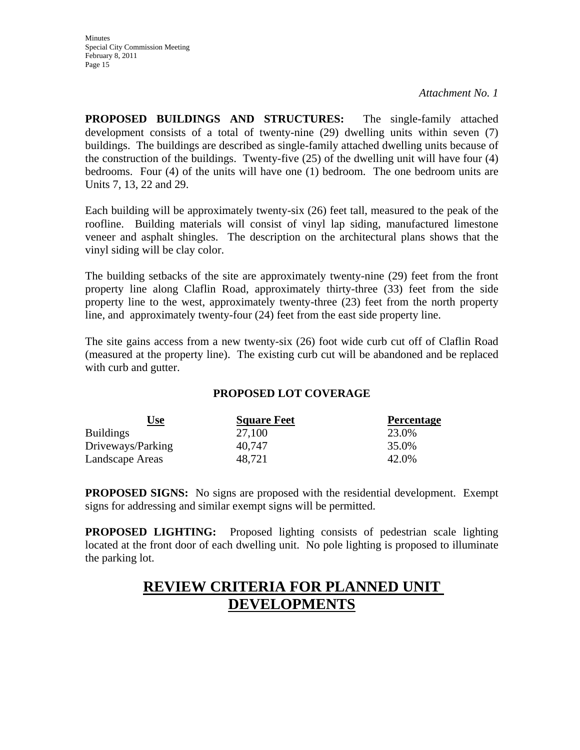**PROPOSED BUILDINGS AND STRUCTURES:** The single-family attached development consists of a total of twenty-nine (29) dwelling units within seven (7) buildings. The buildings are described as single-family attached dwelling units because of the construction of the buildings. Twenty-five (25) of the dwelling unit will have four (4) bedrooms. Four (4) of the units will have one (1) bedroom. The one bedroom units are Units 7, 13, 22 and 29.

Each building will be approximately twenty-six (26) feet tall, measured to the peak of the roofline. Building materials will consist of vinyl lap siding, manufactured limestone veneer and asphalt shingles. The description on the architectural plans shows that the vinyl siding will be clay color.

The building setbacks of the site are approximately twenty-nine (29) feet from the front property line along Claflin Road, approximately thirty-three (33) feet from the side property line to the west, approximately twenty-three (23) feet from the north property line, and approximately twenty-four (24) feet from the east side property line.

The site gains access from a new twenty-six (26) foot wide curb cut off of Claflin Road (measured at the property line). The existing curb cut will be abandoned and be replaced with curb and gutter.

## **PROPOSED LOT COVERAGE**

| <u>Use</u>        | <b>Square Feet</b> | <b>Percentage</b> |
|-------------------|--------------------|-------------------|
| <b>Buildings</b>  | 27,100             | 23.0%             |
| Driveways/Parking | 40.747             | 35.0%             |
| Landscape Areas   | 48,721             | 42.0%             |

**PROPOSED SIGNS:** No signs are proposed with the residential development. Exempt signs for addressing and similar exempt signs will be permitted.

**PROPOSED LIGHTING:** Proposed lighting consists of pedestrian scale lighting located at the front door of each dwelling unit. No pole lighting is proposed to illuminate the parking lot.

## **REVIEW CRITERIA FOR PLANNED UNIT DEVELOPMENTS**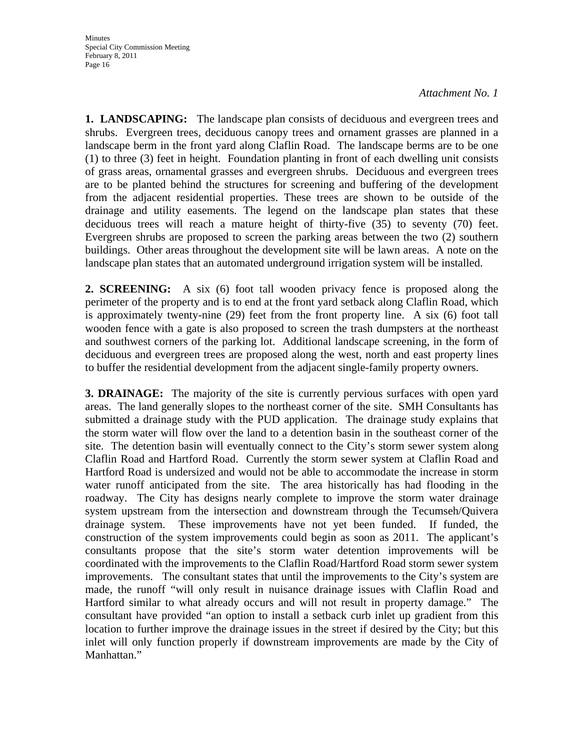**1. LANDSCAPING:** The landscape plan consists of deciduous and evergreen trees and shrubs. Evergreen trees, deciduous canopy trees and ornament grasses are planned in a landscape berm in the front yard along Claflin Road. The landscape berms are to be one (1) to three (3) feet in height. Foundation planting in front of each dwelling unit consists of grass areas, ornamental grasses and evergreen shrubs. Deciduous and evergreen trees are to be planted behind the structures for screening and buffering of the development from the adjacent residential properties. These trees are shown to be outside of the drainage and utility easements. The legend on the landscape plan states that these deciduous trees will reach a mature height of thirty-five (35) to seventy (70) feet. Evergreen shrubs are proposed to screen the parking areas between the two (2) southern buildings. Other areas throughout the development site will be lawn areas. A note on the landscape plan states that an automated underground irrigation system will be installed.

**2. SCREENING:** A six (6) foot tall wooden privacy fence is proposed along the perimeter of the property and is to end at the front yard setback along Claflin Road, which is approximately twenty-nine (29) feet from the front property line. A six (6) foot tall wooden fence with a gate is also proposed to screen the trash dumpsters at the northeast and southwest corners of the parking lot. Additional landscape screening, in the form of deciduous and evergreen trees are proposed along the west, north and east property lines to buffer the residential development from the adjacent single-family property owners.

**3. DRAINAGE:** The majority of the site is currently pervious surfaces with open yard areas. The land generally slopes to the northeast corner of the site. SMH Consultants has submitted a drainage study with the PUD application. The drainage study explains that the storm water will flow over the land to a detention basin in the southeast corner of the site. The detention basin will eventually connect to the City's storm sewer system along Claflin Road and Hartford Road. Currently the storm sewer system at Claflin Road and Hartford Road is undersized and would not be able to accommodate the increase in storm water runoff anticipated from the site. The area historically has had flooding in the roadway. The City has designs nearly complete to improve the storm water drainage system upstream from the intersection and downstream through the Tecumseh/Quivera drainage system. These improvements have not yet been funded. If funded, the construction of the system improvements could begin as soon as 2011. The applicant's consultants propose that the site's storm water detention improvements will be coordinated with the improvements to the Claflin Road/Hartford Road storm sewer system improvements. The consultant states that until the improvements to the City's system are made, the runoff "will only result in nuisance drainage issues with Claflin Road and Hartford similar to what already occurs and will not result in property damage." The consultant have provided "an option to install a setback curb inlet up gradient from this location to further improve the drainage issues in the street if desired by the City; but this inlet will only function properly if downstream improvements are made by the City of Manhattan."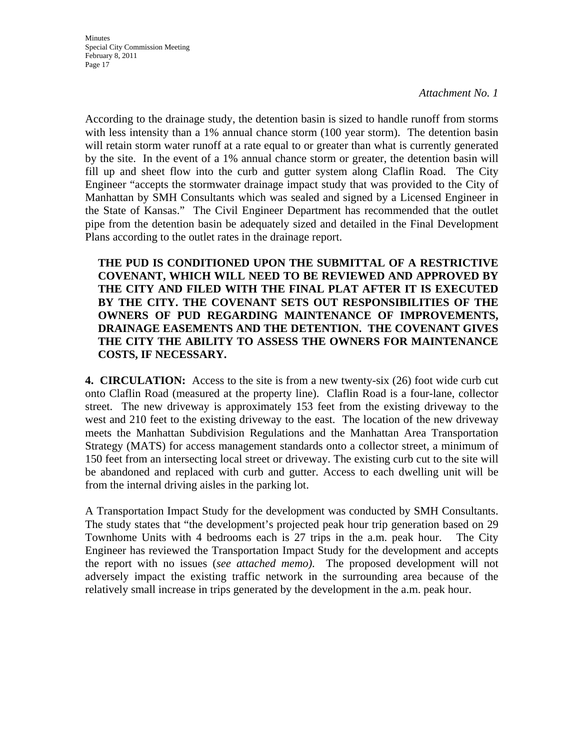According to the drainage study, the detention basin is sized to handle runoff from storms with less intensity than a 1% annual chance storm (100 year storm). The detention basin will retain storm water runoff at a rate equal to or greater than what is currently generated by the site. In the event of a 1% annual chance storm or greater, the detention basin will fill up and sheet flow into the curb and gutter system along Claflin Road. The City Engineer "accepts the stormwater drainage impact study that was provided to the City of Manhattan by SMH Consultants which was sealed and signed by a Licensed Engineer in the State of Kansas." The Civil Engineer Department has recommended that the outlet pipe from the detention basin be adequately sized and detailed in the Final Development Plans according to the outlet rates in the drainage report.

**THE PUD IS CONDITIONED UPON THE SUBMITTAL OF A RESTRICTIVE COVENANT, WHICH WILL NEED TO BE REVIEWED AND APPROVED BY THE CITY AND FILED WITH THE FINAL PLAT AFTER IT IS EXECUTED BY THE CITY. THE COVENANT SETS OUT RESPONSIBILITIES OF THE OWNERS OF PUD REGARDING MAINTENANCE OF IMPROVEMENTS, DRAINAGE EASEMENTS AND THE DETENTION. THE COVENANT GIVES THE CITY THE ABILITY TO ASSESS THE OWNERS FOR MAINTENANCE COSTS, IF NECESSARY.** 

**4. CIRCULATION:** Access to the site is from a new twenty-six (26) foot wide curb cut onto Claflin Road (measured at the property line). Claflin Road is a four-lane, collector street. The new driveway is approximately 153 feet from the existing driveway to the west and 210 feet to the existing driveway to the east. The location of the new driveway meets the Manhattan Subdivision Regulations and the Manhattan Area Transportation Strategy (MATS) for access management standards onto a collector street, a minimum of 150 feet from an intersecting local street or driveway. The existing curb cut to the site will be abandoned and replaced with curb and gutter. Access to each dwelling unit will be from the internal driving aisles in the parking lot.

A Transportation Impact Study for the development was conducted by SMH Consultants. The study states that "the development's projected peak hour trip generation based on 29 Townhome Units with 4 bedrooms each is 27 trips in the a.m. peak hour. The City Engineer has reviewed the Transportation Impact Study for the development and accepts the report with no issues (*see attached memo)*. The proposed development will not adversely impact the existing traffic network in the surrounding area because of the relatively small increase in trips generated by the development in the a.m. peak hour.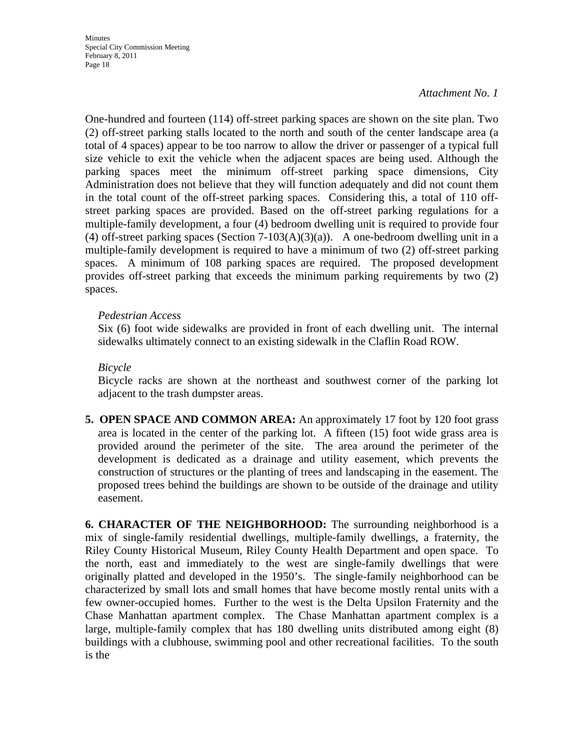One-hundred and fourteen (114) off-street parking spaces are shown on the site plan. Two (2) off-street parking stalls located to the north and south of the center landscape area (a total of 4 spaces) appear to be too narrow to allow the driver or passenger of a typical full size vehicle to exit the vehicle when the adjacent spaces are being used. Although the parking spaces meet the minimum off-street parking space dimensions, City Administration does not believe that they will function adequately and did not count them in the total count of the off-street parking spaces. Considering this, a total of 110 offstreet parking spaces are provided. Based on the off-street parking regulations for a multiple-family development, a four (4) bedroom dwelling unit is required to provide four (4) off-street parking spaces (Section  $7-103(A)(3)(a)$ ). A one-bedroom dwelling unit in a multiple-family development is required to have a minimum of two (2) off-street parking spaces. A minimum of 108 parking spaces are required. The proposed development provides off-street parking that exceeds the minimum parking requirements by two (2) spaces.

### *Pedestrian Access*

 Six (6) foot wide sidewalks are provided in front of each dwelling unit. The internal sidewalks ultimately connect to an existing sidewalk in the Claflin Road ROW.

## *Bicycle*

 Bicycle racks are shown at the northeast and southwest corner of the parking lot adjacent to the trash dumpster areas.

**5. OPEN SPACE AND COMMON AREA:** An approximately 17 foot by 120 foot grass area is located in the center of the parking lot. A fifteen (15) foot wide grass area is provided around the perimeter of the site. The area around the perimeter of the development is dedicated as a drainage and utility easement, which prevents the construction of structures or the planting of trees and landscaping in the easement. The proposed trees behind the buildings are shown to be outside of the drainage and utility easement.

**6. CHARACTER OF THE NEIGHBORHOOD:** The surrounding neighborhood is a mix of single-family residential dwellings, multiple-family dwellings, a fraternity, the Riley County Historical Museum, Riley County Health Department and open space. To the north, east and immediately to the west are single-family dwellings that were originally platted and developed in the 1950's. The single-family neighborhood can be characterized by small lots and small homes that have become mostly rental units with a few owner-occupied homes. Further to the west is the Delta Upsilon Fraternity and the Chase Manhattan apartment complex. The Chase Manhattan apartment complex is a large, multiple-family complex that has 180 dwelling units distributed among eight (8) buildings with a clubhouse, swimming pool and other recreational facilities. To the south is the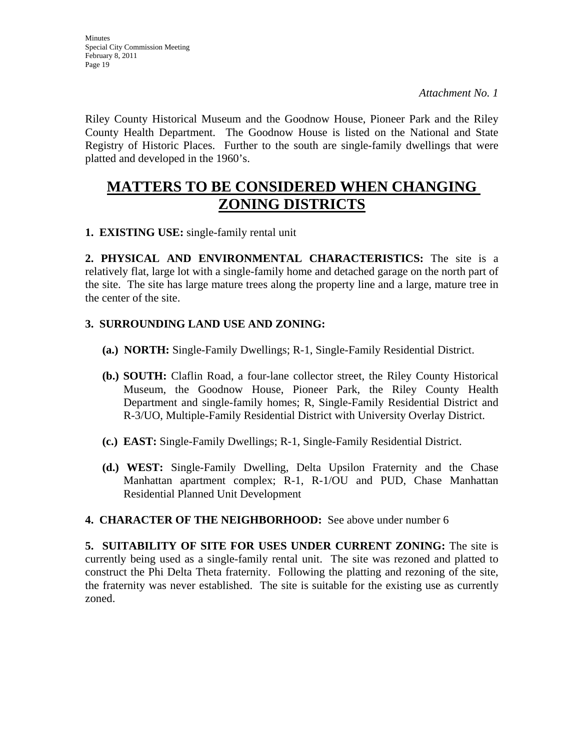Riley County Historical Museum and the Goodnow House, Pioneer Park and the Riley County Health Department. The Goodnow House is listed on the National and State Registry of Historic Places. Further to the south are single-family dwellings that were platted and developed in the 1960's.

## **MATTERS TO BE CONSIDERED WHEN CHANGING ZONING DISTRICTS**

**1. EXISTING USE:** single-family rental unit

**2. PHYSICAL AND ENVIRONMENTAL CHARACTERISTICS:** The site is a relatively flat, large lot with a single-family home and detached garage on the north part of the site. The site has large mature trees along the property line and a large, mature tree in the center of the site.

## **3. SURROUNDING LAND USE AND ZONING:**

- **(a.) NORTH:** Single-Family Dwellings; R-1, Single-Family Residential District.
- **(b.) SOUTH:** Claflin Road, a four-lane collector street, the Riley County Historical Museum, the Goodnow House, Pioneer Park, the Riley County Health Department and single-family homes; R, Single-Family Residential District and R-3/UO, Multiple-Family Residential District with University Overlay District.
- **(c.) EAST:** Single-Family Dwellings; R-1, Single-Family Residential District.
- **(d.) WEST:** Single-Family Dwelling, Delta Upsilon Fraternity and the Chase Manhattan apartment complex; R-1, R-1/OU and PUD, Chase Manhattan Residential Planned Unit Development

### **4. CHARACTER OF THE NEIGHBORHOOD:** See above under number 6

**5. SUITABILITY OF SITE FOR USES UNDER CURRENT ZONING:** The site is currently being used as a single-family rental unit. The site was rezoned and platted to construct the Phi Delta Theta fraternity. Following the platting and rezoning of the site, the fraternity was never established. The site is suitable for the existing use as currently zoned.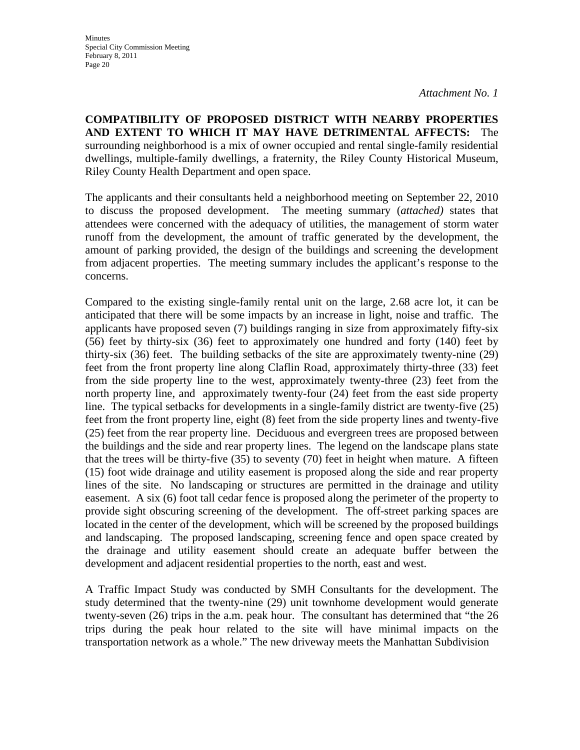**COMPATIBILITY OF PROPOSED DISTRICT WITH NEARBY PROPERTIES AND EXTENT TO WHICH IT MAY HAVE DETRIMENTAL AFFECTS:** The surrounding neighborhood is a mix of owner occupied and rental single-family residential dwellings, multiple-family dwellings, a fraternity, the Riley County Historical Museum, Riley County Health Department and open space.

The applicants and their consultants held a neighborhood meeting on September 22, 2010 to discuss the proposed development. The meeting summary (*attached)* states that attendees were concerned with the adequacy of utilities, the management of storm water runoff from the development, the amount of traffic generated by the development, the amount of parking provided, the design of the buildings and screening the development from adjacent properties. The meeting summary includes the applicant's response to the concerns.

Compared to the existing single-family rental unit on the large, 2.68 acre lot, it can be anticipated that there will be some impacts by an increase in light, noise and traffic. The applicants have proposed seven (7) buildings ranging in size from approximately fifty-six (56) feet by thirty-six (36) feet to approximately one hundred and forty (140) feet by thirty-six (36) feet. The building setbacks of the site are approximately twenty-nine (29) feet from the front property line along Claflin Road, approximately thirty-three (33) feet from the side property line to the west, approximately twenty-three (23) feet from the north property line, and approximately twenty-four (24) feet from the east side property line. The typical setbacks for developments in a single-family district are twenty-five (25) feet from the front property line, eight (8) feet from the side property lines and twenty-five (25) feet from the rear property line. Deciduous and evergreen trees are proposed between the buildings and the side and rear property lines. The legend on the landscape plans state that the trees will be thirty-five (35) to seventy (70) feet in height when mature. A fifteen (15) foot wide drainage and utility easement is proposed along the side and rear property lines of the site. No landscaping or structures are permitted in the drainage and utility easement. A six (6) foot tall cedar fence is proposed along the perimeter of the property to provide sight obscuring screening of the development. The off-street parking spaces are located in the center of the development, which will be screened by the proposed buildings and landscaping. The proposed landscaping, screening fence and open space created by the drainage and utility easement should create an adequate buffer between the development and adjacent residential properties to the north, east and west.

A Traffic Impact Study was conducted by SMH Consultants for the development. The study determined that the twenty-nine (29) unit townhome development would generate twenty-seven (26) trips in the a.m. peak hour. The consultant has determined that "the 26 trips during the peak hour related to the site will have minimal impacts on the transportation network as a whole." The new driveway meets the Manhattan Subdivision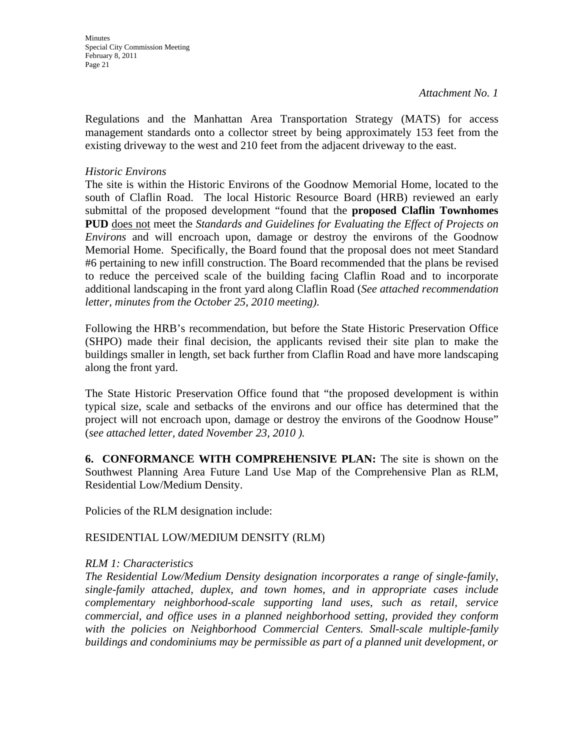**Minutes** Special City Commission Meeting February 8, 2011 Page 21

Regulations and the Manhattan Area Transportation Strategy (MATS) for access management standards onto a collector street by being approximately 153 feet from the existing driveway to the west and 210 feet from the adjacent driveway to the east.

## *Historic Environs*

The site is within the Historic Environs of the Goodnow Memorial Home, located to the south of Claflin Road. The local Historic Resource Board (HRB) reviewed an early submittal of the proposed development "found that the **proposed Claflin Townhomes PUD** does not meet the *Standards and Guidelines for Evaluating the Effect of Projects on Environs* and will encroach upon, damage or destroy the environs of the Goodnow Memorial Home. Specifically, the Board found that the proposal does not meet Standard #6 pertaining to new infill construction. The Board recommended that the plans be revised to reduce the perceived scale of the building facing Claflin Road and to incorporate additional landscaping in the front yard along Claflin Road (*See attached recommendation letter, minutes from the October 25, 2010 meeting)*.

Following the HRB's recommendation, but before the State Historic Preservation Office (SHPO) made their final decision, the applicants revised their site plan to make the buildings smaller in length, set back further from Claflin Road and have more landscaping along the front yard.

The State Historic Preservation Office found that "the proposed development is within typical size, scale and setbacks of the environs and our office has determined that the project will not encroach upon, damage or destroy the environs of the Goodnow House" (*see attached letter, dated November 23, 2010 ).* 

**6. CONFORMANCE WITH COMPREHENSIVE PLAN:** The site is shown on the Southwest Planning Area Future Land Use Map of the Comprehensive Plan as RLM, Residential Low/Medium Density.

Policies of the RLM designation include:

## RESIDENTIAL LOW/MEDIUM DENSITY (RLM)

### *RLM 1: Characteristics*

*The Residential Low/Medium Density designation incorporates a range of single-family, single-family attached, duplex, and town homes, and in appropriate cases include complementary neighborhood-scale supporting land uses, such as retail, service commercial, and office uses in a planned neighborhood setting, provided they conform*  with the policies on Neighborhood Commercial Centers. Small-scale multiple-family *buildings and condominiums may be permissible as part of a planned unit development, or*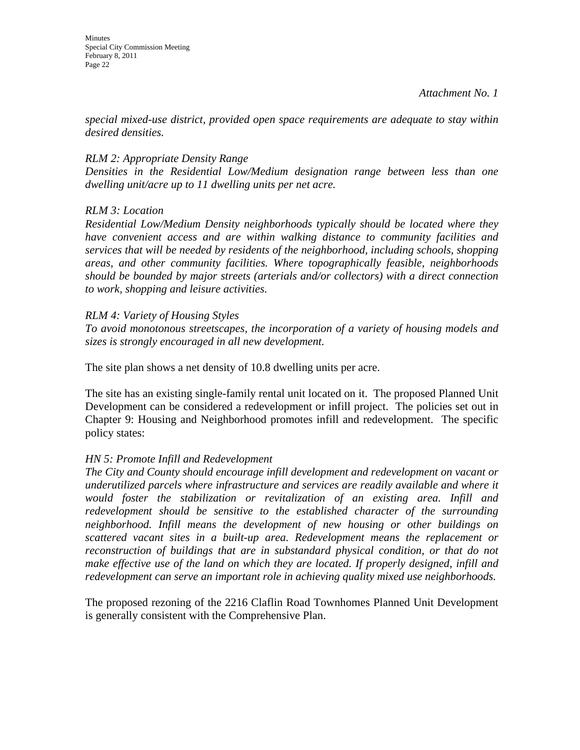*special mixed-use district, provided open space requirements are adequate to stay within desired densities.* 

## *RLM 2: Appropriate Density Range*

*Densities in the Residential Low/Medium designation range between less than one dwelling unit/acre up to 11 dwelling units per net acre.* 

## *RLM 3: Location*

*Residential Low/Medium Density neighborhoods typically should be located where they have convenient access and are within walking distance to community facilities and services that will be needed by residents of the neighborhood, including schools, shopping areas, and other community facilities. Where topographically feasible, neighborhoods should be bounded by major streets (arterials and/or collectors) with a direct connection to work, shopping and leisure activities.* 

## *RLM 4: Variety of Housing Styles*

*To avoid monotonous streetscapes, the incorporation of a variety of housing models and sizes is strongly encouraged in all new development.* 

The site plan shows a net density of 10.8 dwelling units per acre.

The site has an existing single-family rental unit located on it. The proposed Planned Unit Development can be considered a redevelopment or infill project. The policies set out in Chapter 9: Housing and Neighborhood promotes infill and redevelopment. The specific policy states:

## *HN 5: Promote Infill and Redevelopment*

*The City and County should encourage infill development and redevelopment on vacant or underutilized parcels where infrastructure and services are readily available and where it would foster the stabilization or revitalization of an existing area. Infill and redevelopment should be sensitive to the established character of the surrounding neighborhood. Infill means the development of new housing or other buildings on scattered vacant sites in a built-up area. Redevelopment means the replacement or reconstruction of buildings that are in substandard physical condition, or that do not make effective use of the land on which they are located. If properly designed, infill and redevelopment can serve an important role in achieving quality mixed use neighborhoods.* 

The proposed rezoning of the 2216 Claflin Road Townhomes Planned Unit Development is generally consistent with the Comprehensive Plan.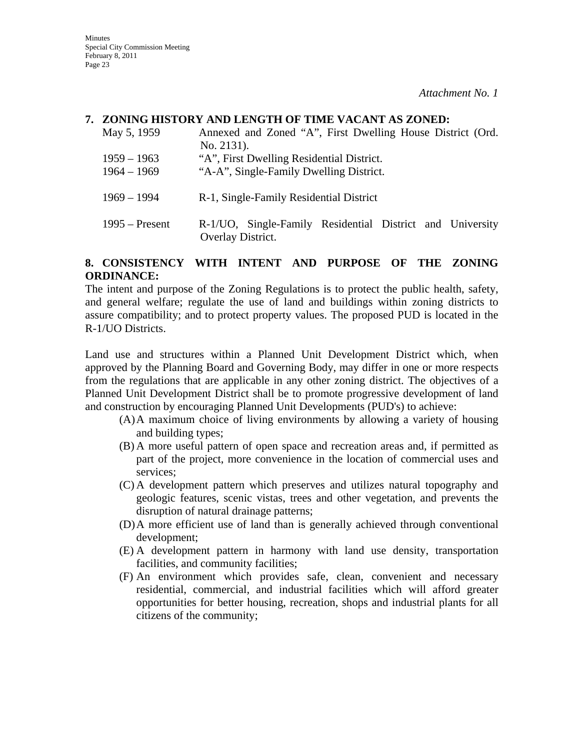**Minutes** Special City Commission Meeting February 8, 2011 Page 23

*Attachment No. 1* 

### **7. ZONING HISTORY AND LENGTH OF TIME VACANT AS ZONED:**

| May 5, 1959                    | Annexed and Zoned "A", First Dwelling House District (Ord.<br>No. 2131).             |
|--------------------------------|--------------------------------------------------------------------------------------|
| $1959 - 1963$<br>$1964 - 1969$ | "A", First Dwelling Residential District.<br>"A-A", Single-Family Dwelling District. |
| $1969 - 1994$                  | R-1, Single-Family Residential District                                              |
| $1995 -$ Present               | R-1/UO, Single-Family Residential District and University<br>Overlay District.       |

### **8. CONSISTENCY WITH INTENT AND PURPOSE OF THE ZONING ORDINANCE:**

The intent and purpose of the Zoning Regulations is to protect the public health, safety, and general welfare; regulate the use of land and buildings within zoning districts to assure compatibility; and to protect property values. The proposed PUD is located in the R-1/UO Districts.

Land use and structures within a Planned Unit Development District which, when approved by the Planning Board and Governing Body, may differ in one or more respects from the regulations that are applicable in any other zoning district. The objectives of a Planned Unit Development District shall be to promote progressive development of land and construction by encouraging Planned Unit Developments (PUD's) to achieve:

- (A)A maximum choice of living environments by allowing a variety of housing and building types;
- (B) A more useful pattern of open space and recreation areas and, if permitted as part of the project, more convenience in the location of commercial uses and services;
- (C) A development pattern which preserves and utilizes natural topography and geologic features, scenic vistas, trees and other vegetation, and prevents the disruption of natural drainage patterns;
- (D)A more efficient use of land than is generally achieved through conventional development;
- (E) A development pattern in harmony with land use density, transportation facilities, and community facilities;
- (F) An environment which provides safe, clean, convenient and necessary residential, commercial, and industrial facilities which will afford greater opportunities for better housing, recreation, shops and industrial plants for all citizens of the community;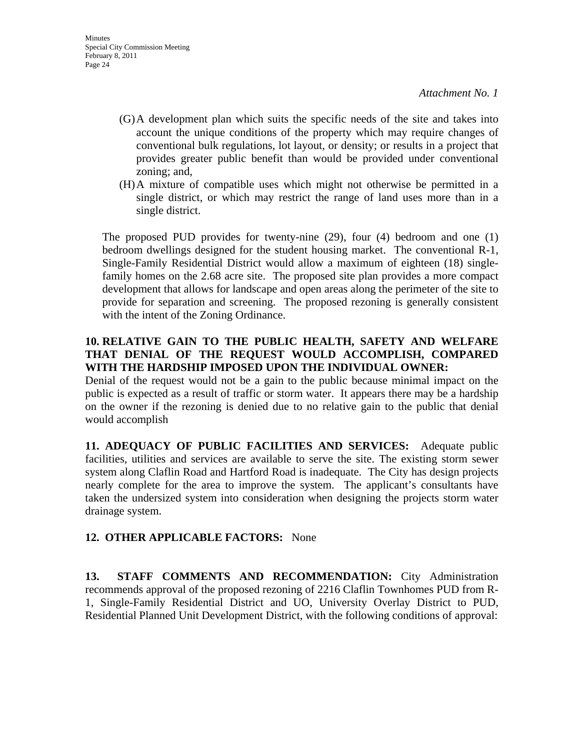- (G)A development plan which suits the specific needs of the site and takes into account the unique conditions of the property which may require changes of conventional bulk regulations, lot layout, or density; or results in a project that provides greater public benefit than would be provided under conventional zoning; and,
- (H)A mixture of compatible uses which might not otherwise be permitted in a single district, or which may restrict the range of land uses more than in a single district.

The proposed PUD provides for twenty-nine (29), four (4) bedroom and one (1) bedroom dwellings designed for the student housing market. The conventional R-1, Single-Family Residential District would allow a maximum of eighteen (18) singlefamily homes on the 2.68 acre site. The proposed site plan provides a more compact development that allows for landscape and open areas along the perimeter of the site to provide for separation and screening. The proposed rezoning is generally consistent with the intent of the Zoning Ordinance.

## **10. RELATIVE GAIN TO THE PUBLIC HEALTH, SAFETY AND WELFARE THAT DENIAL OF THE REQUEST WOULD ACCOMPLISH, COMPARED WITH THE HARDSHIP IMPOSED UPON THE INDIVIDUAL OWNER:**

Denial of the request would not be a gain to the public because minimal impact on the public is expected as a result of traffic or storm water. It appears there may be a hardship on the owner if the rezoning is denied due to no relative gain to the public that denial would accomplish

**11. ADEQUACY OF PUBLIC FACILITIES AND SERVICES:** Adequate public facilities, utilities and services are available to serve the site. The existing storm sewer system along Claflin Road and Hartford Road is inadequate. The City has design projects nearly complete for the area to improve the system. The applicant's consultants have taken the undersized system into consideration when designing the projects storm water drainage system.

## **12. OTHER APPLICABLE FACTORS:** None

**13. STAFF COMMENTS AND RECOMMENDATION:** City Administration recommends approval of the proposed rezoning of 2216 Claflin Townhomes PUD from R-1, Single-Family Residential District and UO, University Overlay District to PUD, Residential Planned Unit Development District, with the following conditions of approval: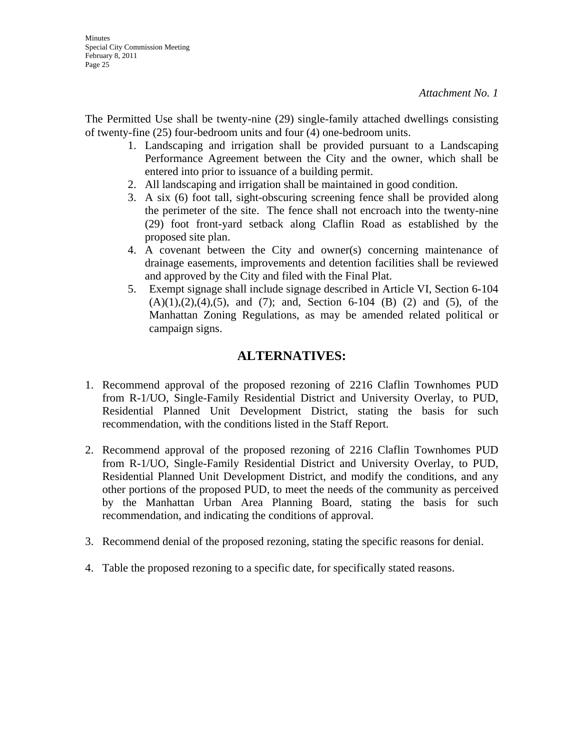The Permitted Use shall be twenty-nine (29) single-family attached dwellings consisting of twenty-fine (25) four-bedroom units and four (4) one-bedroom units.

- 1. Landscaping and irrigation shall be provided pursuant to a Landscaping Performance Agreement between the City and the owner, which shall be entered into prior to issuance of a building permit.
- 2. All landscaping and irrigation shall be maintained in good condition.
- 3. A six (6) foot tall, sight-obscuring screening fence shall be provided along the perimeter of the site. The fence shall not encroach into the twenty-nine (29) foot front-yard setback along Claflin Road as established by the proposed site plan.
- 4. A covenant between the City and owner(s) concerning maintenance of drainage easements, improvements and detention facilities shall be reviewed and approved by the City and filed with the Final Plat.
- 5. Exempt signage shall include signage described in Article VI, Section 6-104  $(A)(1),(2),(4),(5)$ , and  $(7)$ ; and, Section 6-104 (B) (2) and (5), of the Manhattan Zoning Regulations, as may be amended related political or campaign signs.

## **ALTERNATIVES:**

- 1. Recommend approval of the proposed rezoning of 2216 Claflin Townhomes PUD from R-1/UO, Single-Family Residential District and University Overlay, to PUD, Residential Planned Unit Development District, stating the basis for such recommendation, with the conditions listed in the Staff Report.
- 2. Recommend approval of the proposed rezoning of 2216 Claflin Townhomes PUD from R-1/UO, Single-Family Residential District and University Overlay, to PUD, Residential Planned Unit Development District, and modify the conditions, and any other portions of the proposed PUD, to meet the needs of the community as perceived by the Manhattan Urban Area Planning Board, stating the basis for such recommendation, and indicating the conditions of approval.
- 3. Recommend denial of the proposed rezoning, stating the specific reasons for denial.
- 4. Table the proposed rezoning to a specific date, for specifically stated reasons.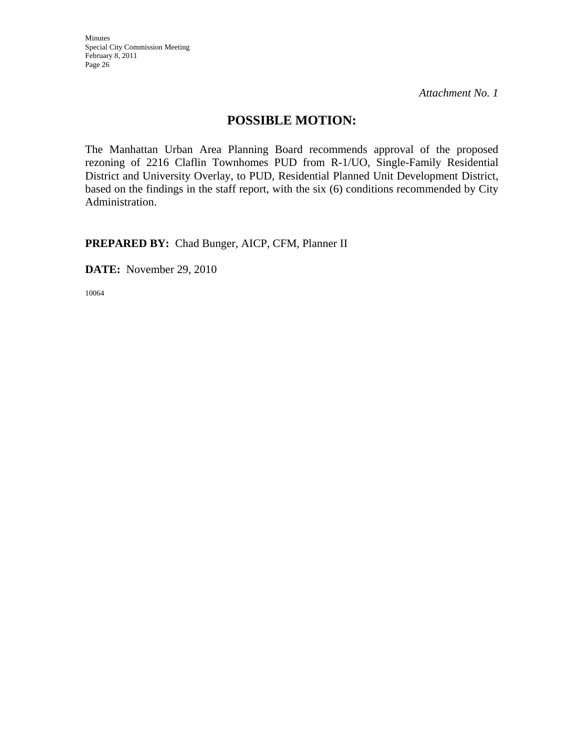Minutes Special City Commission Meeting February 8, 2011 Page 26

*Attachment No. 1* 

## **POSSIBLE MOTION:**

The Manhattan Urban Area Planning Board recommends approval of the proposed rezoning of 2216 Claflin Townhomes PUD from R-1/UO, Single-Family Residential District and University Overlay, to PUD, Residential Planned Unit Development District, based on the findings in the staff report, with the six (6) conditions recommended by City Administration.

**PREPARED BY:** Chad Bunger, AICP, CFM, Planner II

**DATE:** November 29, 2010

10064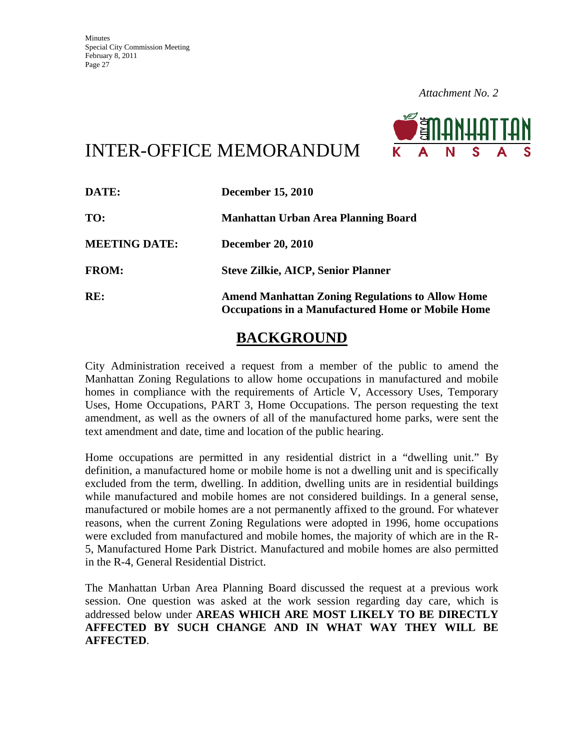

# INTER-OFFICE MEMORANDUM

| DATE:                | <b>December 15, 2010</b>                                                                                            |
|----------------------|---------------------------------------------------------------------------------------------------------------------|
| TO:                  | Manhattan Urban Area Planning Board                                                                                 |
| <b>MEETING DATE:</b> | <b>December 20, 2010</b>                                                                                            |
| <b>FROM:</b>         | <b>Steve Zilkie, AICP, Senior Planner</b>                                                                           |
| RE:                  | <b>Amend Manhattan Zoning Regulations to Allow Home</b><br><b>Occupations in a Manufactured Home or Mobile Home</b> |

## **BACKGROUND**

City Administration received a request from a member of the public to amend the Manhattan Zoning Regulations to allow home occupations in manufactured and mobile homes in compliance with the requirements of Article V, Accessory Uses, Temporary Uses, Home Occupations, PART 3, Home Occupations. The person requesting the text amendment, as well as the owners of all of the manufactured home parks, were sent the text amendment and date, time and location of the public hearing.

Home occupations are permitted in any residential district in a "dwelling unit." By definition, a manufactured home or mobile home is not a dwelling unit and is specifically excluded from the term, dwelling. In addition, dwelling units are in residential buildings while manufactured and mobile homes are not considered buildings. In a general sense, manufactured or mobile homes are a not permanently affixed to the ground. For whatever reasons, when the current Zoning Regulations were adopted in 1996, home occupations were excluded from manufactured and mobile homes, the majority of which are in the R-5, Manufactured Home Park District. Manufactured and mobile homes are also permitted in the R-4, General Residential District.

The Manhattan Urban Area Planning Board discussed the request at a previous work session. One question was asked at the work session regarding day care, which is addressed below under **AREAS WHICH ARE MOST LIKELY TO BE DIRECTLY AFFECTED BY SUCH CHANGE AND IN WHAT WAY THEY WILL BE AFFECTED**.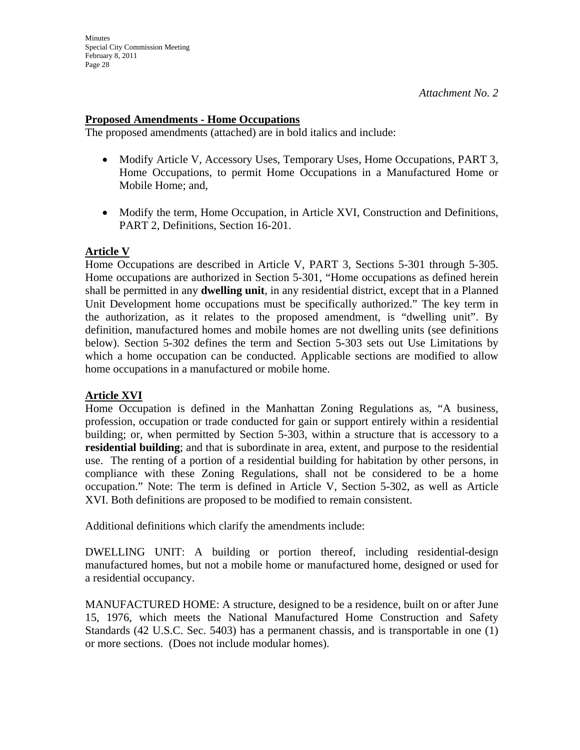### **Proposed Amendments - Home Occupations**

The proposed amendments (attached) are in bold italics and include:

- Modify Article V, Accessory Uses, Temporary Uses, Home Occupations, PART 3, Home Occupations, to permit Home Occupations in a Manufactured Home or Mobile Home; and,
- Modify the term, Home Occupation, in Article XVI, Construction and Definitions, PART 2, Definitions, Section 16-201.

### **Article V**

Home Occupations are described in Article V, PART 3, Sections 5-301 through 5-305. Home occupations are authorized in Section 5-301, "Home occupations as defined herein shall be permitted in any **dwelling unit**, in any residential district, except that in a Planned Unit Development home occupations must be specifically authorized." The key term in the authorization, as it relates to the proposed amendment, is "dwelling unit". By definition, manufactured homes and mobile homes are not dwelling units (see definitions below). Section 5-302 defines the term and Section 5-303 sets out Use Limitations by which a home occupation can be conducted. Applicable sections are modified to allow home occupations in a manufactured or mobile home.

## **Article XVI**

Home Occupation is defined in the Manhattan Zoning Regulations as, "A business, profession, occupation or trade conducted for gain or support entirely within a residential building; or, when permitted by Section 5-303, within a structure that is accessory to a **residential building**; and that is subordinate in area, extent, and purpose to the residential use. The renting of a portion of a residential building for habitation by other persons, in compliance with these Zoning Regulations, shall not be considered to be a home occupation." Note: The term is defined in Article V, Section 5-302, as well as Article XVI. Both definitions are proposed to be modified to remain consistent.

Additional definitions which clarify the amendments include:

DWELLING UNIT: A building or portion thereof, including residential-design manufactured homes, but not a mobile home or manufactured home, designed or used for a residential occupancy.

MANUFACTURED HOME: A structure, designed to be a residence, built on or after June 15, 1976, which meets the National Manufactured Home Construction and Safety Standards (42 U.S.C. Sec. 5403) has a permanent chassis, and is transportable in one (1) or more sections. (Does not include modular homes).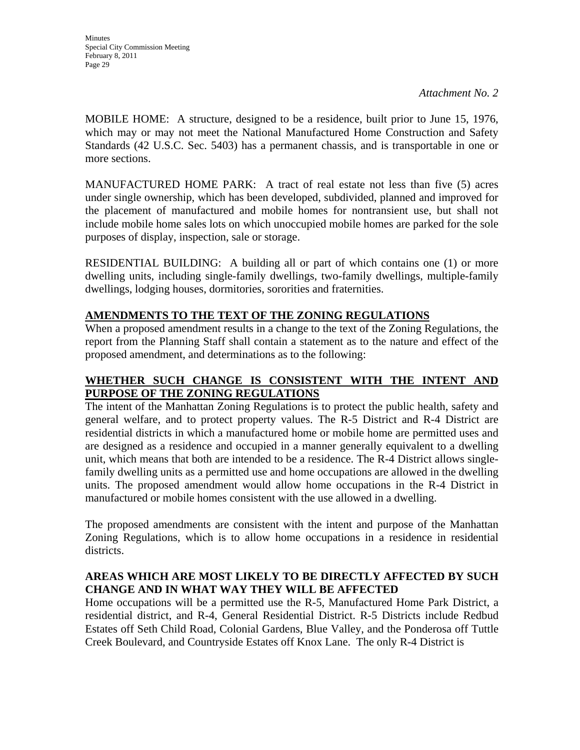**Minutes** Special City Commission Meeting February 8, 2011 Page 29

*Attachment No. 2* 

MOBILE HOME: A structure, designed to be a residence, built prior to June 15, 1976, which may or may not meet the National Manufactured Home Construction and Safety Standards (42 U.S.C. Sec. 5403) has a permanent chassis, and is transportable in one or more sections.

MANUFACTURED HOME PARK: A tract of real estate not less than five (5) acres under single ownership, which has been developed, subdivided, planned and improved for the placement of manufactured and mobile homes for nontransient use, but shall not include mobile home sales lots on which unoccupied mobile homes are parked for the sole purposes of display, inspection, sale or storage.

RESIDENTIAL BUILDING: A building all or part of which contains one (1) or more dwelling units, including single-family dwellings, two-family dwellings, multiple-family dwellings, lodging houses, dormitories, sororities and fraternities.

## **AMENDMENTS TO THE TEXT OF THE ZONING REGULATIONS**

When a proposed amendment results in a change to the text of the Zoning Regulations, the report from the Planning Staff shall contain a statement as to the nature and effect of the proposed amendment, and determinations as to the following:

## **WHETHER SUCH CHANGE IS CONSISTENT WITH THE INTENT AND PURPOSE OF THE ZONING REGULATIONS**

The intent of the Manhattan Zoning Regulations is to protect the public health, safety and general welfare, and to protect property values. The R-5 District and R-4 District are residential districts in which a manufactured home or mobile home are permitted uses and are designed as a residence and occupied in a manner generally equivalent to a dwelling unit, which means that both are intended to be a residence. The R-4 District allows singlefamily dwelling units as a permitted use and home occupations are allowed in the dwelling units. The proposed amendment would allow home occupations in the R-4 District in manufactured or mobile homes consistent with the use allowed in a dwelling.

The proposed amendments are consistent with the intent and purpose of the Manhattan Zoning Regulations, which is to allow home occupations in a residence in residential districts.

## **AREAS WHICH ARE MOST LIKELY TO BE DIRECTLY AFFECTED BY SUCH CHANGE AND IN WHAT WAY THEY WILL BE AFFECTED**

Home occupations will be a permitted use the R-5, Manufactured Home Park District, a residential district, and R-4, General Residential District. R-5 Districts include Redbud Estates off Seth Child Road, Colonial Gardens, Blue Valley, and the Ponderosa off Tuttle Creek Boulevard, and Countryside Estates off Knox Lane. The only R-4 District is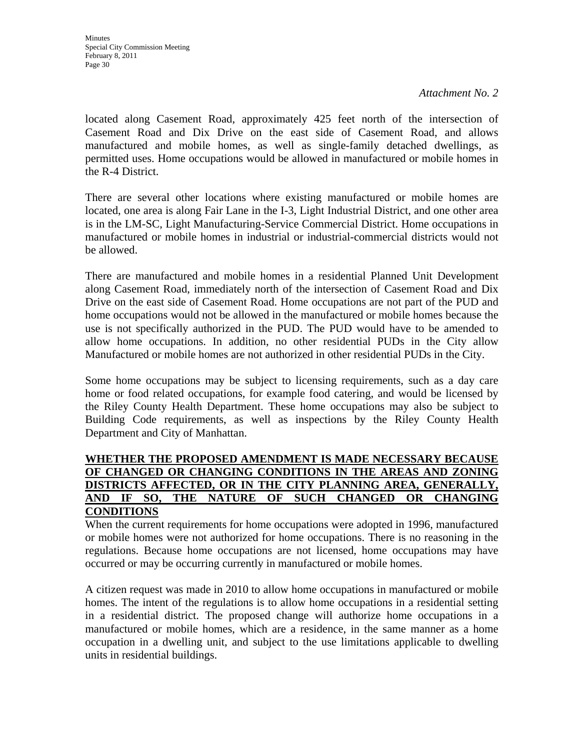Minutes Special City Commission Meeting February 8, 2011 Page 30

*Attachment No. 2* 

located along Casement Road, approximately 425 feet north of the intersection of Casement Road and Dix Drive on the east side of Casement Road, and allows manufactured and mobile homes, as well as single-family detached dwellings, as permitted uses. Home occupations would be allowed in manufactured or mobile homes in the R-4 District.

There are several other locations where existing manufactured or mobile homes are located, one area is along Fair Lane in the I-3, Light Industrial District, and one other area is in the LM-SC, Light Manufacturing-Service Commercial District. Home occupations in manufactured or mobile homes in industrial or industrial-commercial districts would not be allowed.

There are manufactured and mobile homes in a residential Planned Unit Development along Casement Road, immediately north of the intersection of Casement Road and Dix Drive on the east side of Casement Road. Home occupations are not part of the PUD and home occupations would not be allowed in the manufactured or mobile homes because the use is not specifically authorized in the PUD. The PUD would have to be amended to allow home occupations. In addition, no other residential PUDs in the City allow Manufactured or mobile homes are not authorized in other residential PUDs in the City.

Some home occupations may be subject to licensing requirements, such as a day care home or food related occupations, for example food catering, and would be licensed by the Riley County Health Department. These home occupations may also be subject to Building Code requirements, as well as inspections by the Riley County Health Department and City of Manhattan.

### **WHETHER THE PROPOSED AMENDMENT IS MADE NECESSARY BECAUSE OF CHANGED OR CHANGING CONDITIONS IN THE AREAS AND ZONING DISTRICTS AFFECTED, OR IN THE CITY PLANNING AREA, GENERALLY, AND IF SO, THE NATURE OF SUCH CHANGED OR CHANGING CONDITIONS**

When the current requirements for home occupations were adopted in 1996, manufactured or mobile homes were not authorized for home occupations. There is no reasoning in the regulations. Because home occupations are not licensed, home occupations may have occurred or may be occurring currently in manufactured or mobile homes.

A citizen request was made in 2010 to allow home occupations in manufactured or mobile homes. The intent of the regulations is to allow home occupations in a residential setting in a residential district. The proposed change will authorize home occupations in a manufactured or mobile homes, which are a residence, in the same manner as a home occupation in a dwelling unit, and subject to the use limitations applicable to dwelling units in residential buildings.